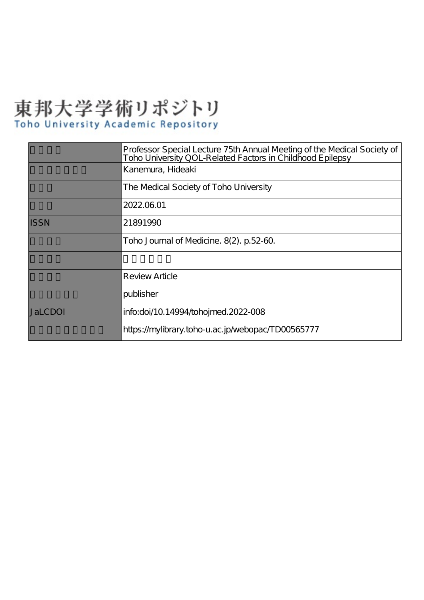# 東邦大学学術リポジトリ Toho University Academic Repository

|                | Professor Special Lecture 75th Annual Meeting of the Medical Society of<br>Toho University QOL-Related Factors in Childhood Epilepsy |
|----------------|--------------------------------------------------------------------------------------------------------------------------------------|
|                | Kanemura, Hideaki                                                                                                                    |
|                | The Medical Society of Toho University                                                                                               |
|                | 2022.06.01                                                                                                                           |
| <b>ISSN</b>    | 21891990                                                                                                                             |
|                | Toho Journal of Medicine. 8(2). p.52-60.                                                                                             |
|                |                                                                                                                                      |
|                | Review Article                                                                                                                       |
|                | publisher                                                                                                                            |
| <b>JaLCDOI</b> | info:doi/10.14994/tohojmed.2022-008                                                                                                  |
|                | https://mylibrary.toho-u.ac.jp/webopac/TD00565777                                                                                    |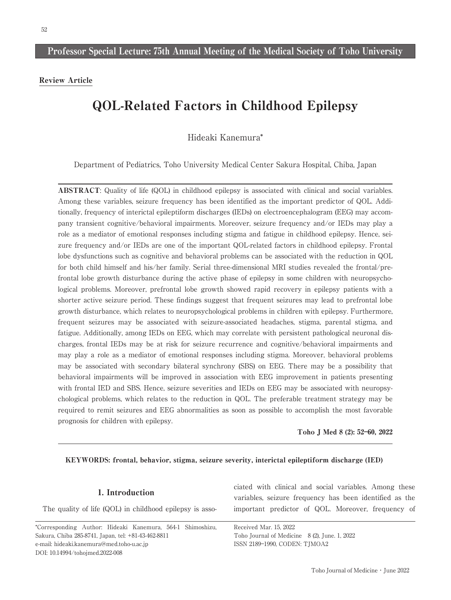Review Article

# QOL-Related Factors in Childhood Epilepsy

Hideaki Kanemura\*

Department of Pediatrics, Toho University Medical Center Sakura Hospital, Chiba, Japan

ABSTRACT: Quality of life (QOL) in childhood epilepsy is associated with clinical and social variables. Among these variables, seizure frequency has been identified as the important predictor of QOL. Additionally, frequency of interictal epileptiform discharges (IEDs) on electroencephalogram (EEG) may accompany transient cognitive/behavioral impairments. Moreover, seizure frequency and/or IEDs may play a role as a mediator of emotional responses including stigma and fatigue in childhood epilepsy. Hence, seizure frequency and/or IEDs are one of the important QOL-related factors in childhood epilepsy. Frontal lobe dysfunctions such as cognitive and behavioral problems can be associated with the reduction in QOL for both child himself and his/her family. Serial three-dimensional MRI studies revealed the frontal/prefrontal lobe growth disturbance during the active phase of epilepsy in some children with neuropsychological problems. Moreover, prefrontal lobe growth showed rapid recovery in epilepsy patients with a shorter active seizure period. These findings suggest that frequent seizures may lead to prefrontal lobe growth disturbance, which relates to neuropsychological problems in children with epilepsy. Furthermore, frequent seizures may be associated with seizure-associated headaches, stigma, parental stigma, and fatigue. Additionally, among IEDs on EEG, which may correlate with persistent pathological neuronal discharges, frontal IEDs may be at risk for seizure recurrence and cognitive/behavioral impairments and may play a role as a mediator of emotional responses including stigma. Moreover, behavioral problems may be associated with secondary bilateral synchrony (SBS) on EEG. There may be a possibility that behavioral impairments will be improved in association with EEG improvement in patients presenting with frontal IED and SBS. Hence, seizure severities and IEDs on EEG may be associated with neuropsychological problems, which relates to the reduction in QOL. The preferable treatment strategy may be required to remit seizures and EEG abnormalities as soon as possible to accomplish the most favorable prognosis for children with epilepsy.

Toho J Med 8 (2): 52―60, 2022

# KEYWORDS: frontal, behavior, stigma, seizure severity, interictal epileptiform discharge (IED)

# 1. Introduction

The quality of life (QOL) in childhood epilepsy is asso-

\*Corresponding Author: Hideaki Kanemura, 564-1 Shimoshizu, Sakura, Chiba 285-8741, Japan, tel: +81-43-462-8811 e-mail: hideaki.kanemura@med.toho-u.ac.jp DOI: 10.14994/tohojmed.2022-008

ciated with clinical and social variables. Among these variables, seizure frequency has been identified as the important predictor of QOL. Moreover, frequency of

Received Mar. 15, 2022 Toho Journal of Medicine 8 (2), June. 1, 2022 ISSN 2189―1990, CODEN: TJMOA2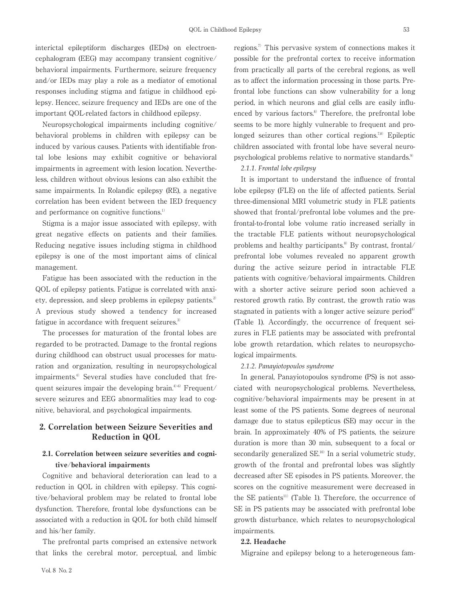interictal epileptiform discharges (IEDs) on electroencephalogram (EEG) may accompany transient cognitive/ behavioral impairments. Furthermore, seizure frequency and/or IEDs may play a role as a mediator of emotional responses including stigma and fatigue in childhood epilepsy. Hencec, seizure frequency and IEDs are one of the important QOL-related factors in childhood epilepsy.

Neuropsychological impairments including cognitive/ behavioral problems in children with epilepsy can be induced by various causes. Patients with identifiable frontal lobe lesions may exhibit cognitive or behavioral impairments in agreement with lesion location. Nevertheless, children without obvious lesions can also exhibit the same impairments. In Rolandic epilepsy (RE), a negative correlation has been evident between the IED frequency and performance on cognitive functions.<sup>1)</sup>

Stigma is a major issue associated with epilepsy, with great negative effects on patients and their families. Reducing negative issues including stigma in childhood epilepsy is one of the most important aims of clinical management.

Fatigue has been associated with the reduction in the QOL of epilepsy patients. Fatigue is correlated with anxiety, depression, and sleep problems in epilepsy patients.<sup>2)</sup> A previous study showed a tendency for increased fatigue in accordance with frequent seizures.<sup>3)</sup>

The processes for maturation of the frontal lobes are regarded to be protracted. Damage to the frontal regions during childhood can obstruct usual processes for maturation and organization, resulting in neuropsychological impairments.4) Several studies have concluded that frequent seizures impair the developing brain.<sup>4)-6)</sup> Frequent/ severe seizures and EEG abnormalities may lead to cognitive, behavioral, and psychological impairments.

# 2. Correlation between Seizure Severities and Reduction in QOL

# 2.1. Correlation between seizure severities and cognitive/behavioral impairments

Cognitive and behavioral deterioration can lead to a reduction in QOL in children with epilepsy. This cognitive/behavioral problem may be related to frontal lobe dysfunction. Therefore, frontal lobe dysfunctions can be associated with a reduction in QOL for both child himself and his/her family.

The prefrontal parts comprised an extensive network that links the cerebral motor, perceptual, and limbic

regions.7) This pervasive system of connections makes it possible for the prefrontal cortex to receive information from practically all parts of the cerebral regions, as well as to affect the information processing in those parts. Prefrontal lobe functions can show vulnerability for a long period, in which neurons and glial cells are easily influenced by various factors.<sup>8)</sup> Therefore, the prefrontal lobe seems to be more highly vulnerable to frequent and prolonged seizures than other cortical regions.<sup>7,8)</sup> Epileptic children associated with frontal lobe have several neuropsychological problems relative to normative standards.<sup>9)</sup>

*2.1.1. Frontal lobe epilepsy*

It is important to understand the influence of frontal lobe epilepsy (FLE) on the life of affected patients. Serial three-dimensional MRI volumetric study in FLE patients showed that frontal/prefrontal lobe volumes and the prefrontal-to-frontal lobe volume ratio increased serially in the tractable FLE patients without neuropsychological problems and healthy participants.<sup>8)</sup> By contrast, frontal/ prefrontal lobe volumes revealed no apparent growth during the active seizure period in intractable FLE patients with cognitive/behavioral impairments. Children with a shorter active seizure period soon achieved a restored growth ratio. By contrast, the growth ratio was stagnated in patients with a longer active seizure period<sup>8)</sup> (Table 1). Accordingly, the occurrence of frequent seizures in FLE patients may be associated with prefrontal lobe growth retardation, which relates to neuropsychological impairments.

# *2.1.2. Panayiotopoulos syndrome*

In general, Panayiotopoulos syndrome (PS) is not associated with neuropsychological problems. Nevertheless, cognitive/behavioral impairments may be present in at least some of the PS patients. Some degrees of neuronal damage due to status epilepticus (SE) may occur in the brain. In approximately 40% of PS patients, the seizure duration is more than 30 min, subsequent to a focal or secondarily generalized SE.<sup>10)</sup> In a serial volumetric study, growth of the frontal and prefrontal lobes was slightly decreased after SE episodes in PS patients. Moreover, the scores on the cognitive measurement were decreased in the SE patients<sup>11)</sup> (Table 1). Therefore, the occurrence of SE in PS patients may be associated with prefrontal lobe growth disturbance, which relates to neuropsychological impairments.

### 2.2. Headache

Migraine and epilepsy belong to a heterogeneous fam-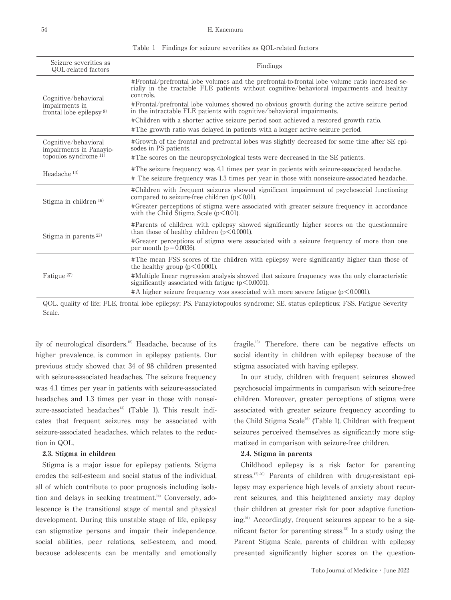#### 54 H. Kanemura

| Seizure severities as<br>QOL-related factors                                | Findings                                                                                                                                                                                                                                                                                                                                                                                                                                                                                                                                                    |  |  |  |
|-----------------------------------------------------------------------------|-------------------------------------------------------------------------------------------------------------------------------------------------------------------------------------------------------------------------------------------------------------------------------------------------------------------------------------------------------------------------------------------------------------------------------------------------------------------------------------------------------------------------------------------------------------|--|--|--|
| Cognitive/behavioral<br>impairments in<br>frontal lobe epilepsy $8$         | #Frontal/prefrontal lobe volumes and the prefrontal-to-frontal lobe volume ratio increased se-<br>rially in the tractable FLE patients without cognitive/behavioral impairments and healthy<br>controls.<br>#Frontal/prefrontal lobe volumes showed no obvious growth during the active seizure period<br>in the intractable FLE patients with cognitive/behavioral impairments.<br>#Children with a shorter active seizure period soon achieved a restored growth ratio.<br>#The growth ratio was delayed in patients with a longer active seizure period. |  |  |  |
| Cognitive/behavioral<br>impairments in Panavio-<br>topoulos syndrome $11$ ) | #Growth of the frontal and prefrontal lobes was slightly decreased for some time after SE epi-<br>sodes in PS patients.<br>#The scores on the neuropsychological tests were decreased in the SE patients.                                                                                                                                                                                                                                                                                                                                                   |  |  |  |
| Headache <sup>13)</sup>                                                     | #The seizure frequency was 4.1 times per year in patients with seizure-associated headache.<br># The seizure frequency was 1.3 times per year in those with nonseizure-associated headache.                                                                                                                                                                                                                                                                                                                                                                 |  |  |  |
| Stigma in children 16)                                                      | #Children with frequent seizures showed significant impairment of psychosocial functioning<br>compared to seizure-free children $(p<0.01)$ .<br>#Greater perceptions of stigma were associated with greater seizure frequency in accordance<br>with the Child Stigma Scale $(p<0.01)$ .                                                                                                                                                                                                                                                                     |  |  |  |
| Stigma in parents $^{23)}$                                                  | #Parents of children with epilepsy showed significantly higher scores on the questionnaire<br>than those of healthy children $(p<0.0001)$ .<br>#Greater perceptions of stigma were associated with a seizure frequency of more than one<br>per month ( $p = 0.0036$ ).                                                                                                                                                                                                                                                                                      |  |  |  |
| Fatigue <sup>27)</sup>                                                      | #The mean FSS scores of the children with epilepsy were significantly higher than those of<br>the healthy group $(p<0.0001)$ .<br>#Multiple linear regression analysis showed that seizure frequency was the only characteristic<br>significantly associated with fatigue $(p<0.0001)$ .<br>$\#A$ higher seizure frequency was associated with more severe fatigue ( $p < 0.0001$ ).                                                                                                                                                                        |  |  |  |

Table 1 Findings for seizure severities as QOL-related factors

QOL, quality of life; FLE, frontal lobe epilepsy; PS, Panayiotopoulos syndrome; SE, status epilepticus; FSS, Fatigue Severity Scale.

ily of neurological disorders.12) Headache, because of its higher prevalence, is common in epilepsy patients. Our previous study showed that 34 of 98 children presented with seizure-associated headaches. The seizure frequency was 4.1 times per year in patients with seizure-associated headaches and 1.3 times per year in those with nonseizure-associated headaches<sup>13)</sup> (Table 1). This result indicates that frequent seizures may be associated with seizure-associated headaches, which relates to the reduction in QOL.

#### 2.3. Stigma in children

Stigma is a major issue for epilepsy patients. Stigma erodes the self-esteem and social status of the individual, all of which contribute to poor prognosis including isolation and delays in seeking treatment.<sup>14)</sup> Conversely, adolescence is the transitional stage of mental and physical development. During this unstable stage of life, epilepsy can stigmatize persons and impair their independence, social abilities, peer relations, self-esteem, and mood, because adolescents can be mentally and emotionally

fragile.15) Therefore, there can be negative effects on social identity in children with epilepsy because of the stigma associated with having epilepsy.

In our study, children with frequent seizures showed psychosocial impairments in comparison with seizure-free children. Moreover, greater perceptions of stigma were associated with greater seizure frequency according to the Child Stigma Scale<sup>16)</sup> (Table 1). Children with frequent seizures perceived themselves as significantly more stigmatized in comparison with seizure-free children.

#### 2.4. Stigma in parents

Childhood epilepsy is a risk factor for parenting stress.<sup>17)-20)</sup> Parents of children with drug-resistant epilepsy may experience high levels of anxiety about recurrent seizures, and this heightened anxiety may deploy their children at greater risk for poor adaptive functioning.21) Accordingly, frequent seizures appear to be a significant factor for parenting stress.<sup>22)</sup> In a study using the Parent Stigma Scale, parents of children with epilepsy presented significantly higher scores on the question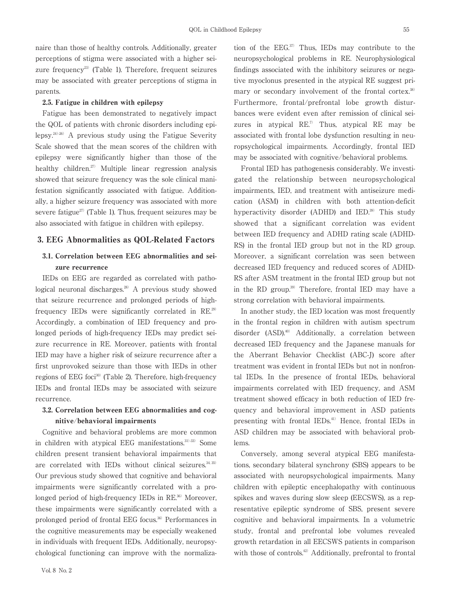naire than those of healthy controls. Additionally, greater perceptions of stigma were associated with a higher seizure frequency<sup>23</sup> (Table 1). Therefore, frequent seizures may be associated with greater perceptions of stigma in parents.

# 2.5. Fatigue in children with epilepsy

Fatigue has been demonstrated to negatively impact the QOL of patients with chronic disorders including epilepsy.24)-26) A previous study using the Fatigue Severity Scale showed that the mean scores of the children with epilepsy were significantly higher than those of the healthy children.<sup>27)</sup> Multiple linear regression analysis showed that seizure frequency was the sole clinical manifestation significantly associated with fatigue. Additionally, a higher seizure frequency was associated with more severe fatigue<sup> $27$ </sup> (Table 1). Thus, frequent seizures may be also associated with fatigue in children with epilepsy.

# 3. EEG Abnormalities as QOL-Related Factors

# 3.1. Correlation between EEG abnormalities and seizure recurrence

IEDs on EEG are regarded as correlated with pathological neuronal discharges.<sup>28)</sup> A previous study showed that seizure recurrence and prolonged periods of highfrequency IEDs were significantly correlated in RE.29) Accordingly, a combination of IED frequency and prolonged periods of high-frequency IEDs may predict seizure recurrence in RE. Moreover, patients with frontal IED may have a higher risk of seizure recurrence after a first unprovoked seizure than those with IEDs in other regions of EEG foci<sup>30</sup> (Table 2). Therefore, high-frequency IEDs and frontal IEDs may be associated with seizure recurrence.

# 3.2. Correlation between EEG abnormalities and cognitive/behavioral impairments

Cognitive and behavioral problems are more common in children with atypical EEG manifestations.<sup>31,33)</sup> Some children present transient behavioral impairments that are correlated with IEDs without clinical seizures.<sup>34,35)</sup> Our previous study showed that cognitive and behavioral impairments were significantly correlated with a prolonged period of high-frequency IEDs in RE.<sup>36)</sup> Moreover, these impairments were significantly correlated with a prolonged period of frontal EEG focus.<sup>36)</sup> Performances in the cognitive measurements may be especially weakened in individuals with frequent IEDs. Additionally, neuropsychological functioning can improve with the normalization of the  $EEG<sup>37</sup>$  Thus, IEDs may contribute to the neuropsychological problems in RE. Neurophysiological findings associated with the inhibitory seizures or negative myoclonus presented in the atypical RE suggest primary or secondary involvement of the frontal cortex.<sup>38)</sup> Furthermore, frontal/prefrontal lobe growth disturbances were evident even after remission of clinical seizures in atypical  $RE<sup>7</sup>$  Thus, atypical RE may be associated with frontal lobe dysfunction resulting in neuropsychological impairments. Accordingly, frontal IED may be associated with cognitive/behavioral problems.

Frontal IED has pathogenesis considerably. We investigated the relationship between neuropsychological impairments, IED, and treatment with antiseizure medication (ASM) in children with both attention-deficit hyperactivity disorder (ADHD) and IED.<sup>39</sup> This study showed that a significant correlation was evident between IED frequency and ADHD rating scale (ADHD-RS) in the frontal IED group but not in the RD group. Moreover, a significant correlation was seen between decreased IED frequency and reduced scores of ADHD-RS after ASM treatment in the frontal IED group but not in the RD group.39) Therefore, frontal IED may have a strong correlation with behavioral impairments.

In another study, the IED location was most frequently in the frontal region in children with autism spectrum disorder (ASD).<sup>40)</sup> Additionally, a correlation between decreased IED frequency and the Japanese manuals for the Aberrant Behavior Checklist (ABC-J) score after treatment was evident in frontal IEDs but not in nonfrontal IEDs. In the presence of frontal IEDs, behavioral impairments correlated with IED frequency, and ASM treatment showed efficacy in both reduction of IED frequency and behavioral improvement in ASD patients presenting with frontal IEDs.<sup>41)</sup> Hence, frontal IEDs in ASD children may be associated with behavioral problems.

Conversely, among several atypical EEG manifestations, secondary bilateral synchrony (SBS) appears to be associated with neuropsychological impairments. Many children with epileptic encephalopathy with continuous spikes and waves during slow sleep (EECSWS), as a representative epileptic syndrome of SBS, present severe cognitive and behavioral impairments. In a volumetric study, frontal and prefrontal lobe volumes revealed growth retardation in all EECSWS patients in comparison with those of controls.<sup>42)</sup> Additionally, prefrontal to frontal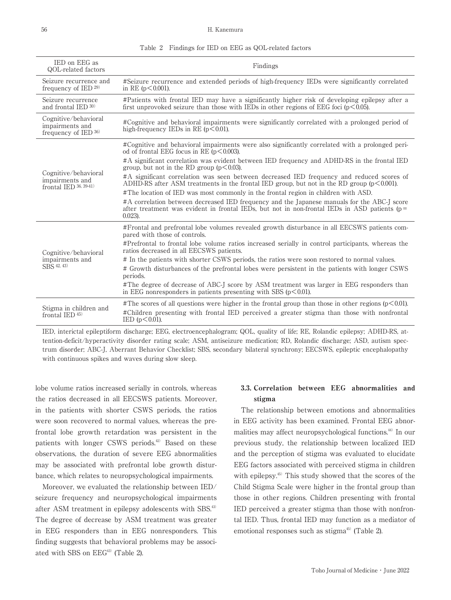#### 56 H. Kanemura

| IED on EEG as<br>QOL-related factors                              | Findings                                                                                                                                                                                                      |  |  |  |  |  |
|-------------------------------------------------------------------|---------------------------------------------------------------------------------------------------------------------------------------------------------------------------------------------------------------|--|--|--|--|--|
| Seizure recurrence and<br>frequency of IED $^{29)}$               | #Seizure recurrence and extended periods of high-frequency IEDs were significantly correlated<br>in RE $(p<0.001)$ .                                                                                          |  |  |  |  |  |
| Seizure recurrence<br>and frontal $\text{IED }30$                 | #Patients with frontal IED may have a significantly higher risk of developing epilepsy after a<br>first unprovoked seizure than those with IEDs in other regions of EEG foci ( $p < 0.05$ ).                  |  |  |  |  |  |
| Cognitive/behavioral<br>impairments and<br>frequency of IED 36)   | #Cognitive and behavioral impairments were significantly correlated with a prolonged period of<br>high-frequency IEDs in RE ( $p < 0.01$ ).                                                                   |  |  |  |  |  |
| Cognitive/behavioral<br>impairments and<br>frontal IED 36, 39-41) | #Cognitive and behavioral impairments were also significantly correlated with a prolonged peri-<br>od of frontal EEG focus in RE ( $p < 0.003$ ).                                                             |  |  |  |  |  |
|                                                                   | #A significant correlation was evident between IED frequency and ADHD-RS in the frontal IED<br>group, but not in the RD group ( $p < 0.03$ ).                                                                 |  |  |  |  |  |
|                                                                   | #A significant correlation was seen between decreased IED frequency and reduced scores of<br>ADHD-RS after ASM treatments in the frontal IED group, but not in the RD group ( $p < 0.001$ ).                  |  |  |  |  |  |
|                                                                   | #The location of IED was most commonly in the frontal region in children with ASD.                                                                                                                            |  |  |  |  |  |
|                                                                   | #A correlation between decreased IED frequency and the Japanese manuals for the ABC-J score<br>after treatment was evident in frontal IEDs, but not in non-frontal IEDs in ASD patients ( $p =$<br>$0.023$ ). |  |  |  |  |  |
| Cognitive/behavioral<br>impairments and<br>SBS 42, 43)            | #Frontal and prefrontal lobe volumes revealed growth disturbance in all EECSWS patients com-<br>pared with those of controls.                                                                                 |  |  |  |  |  |
|                                                                   | #Prefrontal to frontal lobe volume ratios increased serially in control participants, whereas the<br>ratios decreased in all EECSWS patients.                                                                 |  |  |  |  |  |
|                                                                   | # In the patients with shorter CSWS periods, the ratios were soon restored to normal values.                                                                                                                  |  |  |  |  |  |
|                                                                   | # Growth disturbances of the prefrontal lobes were persistent in the patients with longer CSWS<br>periods.                                                                                                    |  |  |  |  |  |
|                                                                   | #The degree of decrease of ABC-I score by ASM treatment was larger in EEG responders than<br>in EEG nonresponders in patients presenting with SBS $(p<0.01)$ .                                                |  |  |  |  |  |
| Stigma in children and<br>frontal IED $45$                        | #The scores of all questions were higher in the frontal group than those in other regions ( $p < 0.01$ ).                                                                                                     |  |  |  |  |  |
|                                                                   | #Children presenting with frontal IED perceived a greater stigma than those with nonfrontal<br>IED $(p<0.01)$ .                                                                                               |  |  |  |  |  |

|  |  |  |  |  | Table 2 Findings for IED on EEG as QOL-related factors |  |
|--|--|--|--|--|--------------------------------------------------------|--|
|--|--|--|--|--|--------------------------------------------------------|--|

IED, interictal epileptiform discharge; EEG, electroencephalogram; QOL, quality of life; RE, Rolandic epilepsy; ADHD-RS, attention-deficit/hyperactivity disorder rating scale; ASM, antiseizure medication; RD, Rolandic discharge; ASD, autism spectrum disorder; ABC-J, Aberrant Behavior Checklist; SBS, secondary bilateral synchrony; EECSWS, epileptic encephalopathy with continuous spikes and waves during slow sleep.

lobe volume ratios increased serially in controls, whereas the ratios decreased in all EECSWS patients. Moreover, in the patients with shorter CSWS periods, the ratios were soon recovered to normal values, whereas the prefrontal lobe growth retardation was persistent in the patients with longer CSWS periods.<sup>42</sup> Based on these observations, the duration of severe EEG abnormalities may be associated with prefrontal lobe growth disturbance, which relates to neuropsychological impairments.

Moreover, we evaluated the relationship between IED/ seizure frequency and neuropsychological impairments after ASM treatment in epilepsy adolescents with SBS.43) The degree of decrease by ASM treatment was greater in EEG responders than in EEG nonresponders. This finding suggests that behavioral problems may be associated with SBS on EEG<sup>43)</sup> (Table 2).

# 3.3. Correlation between EEG abnormalities and stigma

The relationship between emotions and abnormalities in EEG activity has been examined. Frontal EEG abnormalities may affect neuropsychological functions.44) In our previous study, the relationship between localized IED and the perception of stigma was evaluated to elucidate EEG factors associated with perceived stigma in children with epilepsy.<sup>45)</sup> This study showed that the scores of the Child Stigma Scale were higher in the frontal group than those in other regions. Children presenting with frontal IED perceived a greater stigma than those with nonfrontal IED. Thus, frontal IED may function as a mediator of emotional responses such as stigma $45$  (Table 2).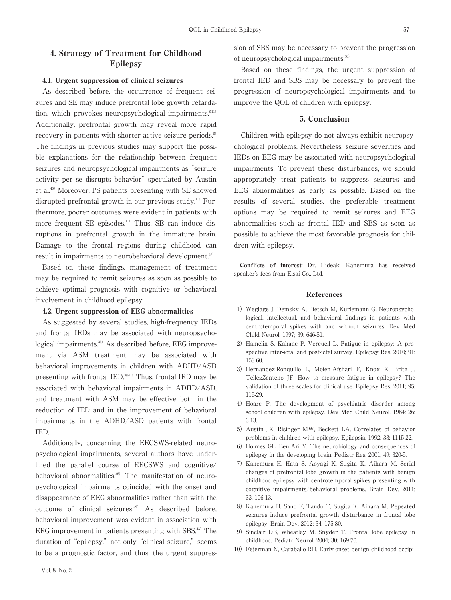# 4. Strategy of Treatment for Childhood Epilepsy

### 4.1. Urgent suppression of clinical seizures

As described before, the occurrence of frequent seizures and SE may induce prefrontal lobe growth retardation, which provokes neuropsychological impairments.<sup>8,11)</sup> Additionally, prefrontal growth may reveal more rapid recovery in patients with shorter active seizure periods.<sup>8)</sup> The findings in previous studies may support the possible explanations for the relationship between frequent seizures and neuropsychological impairments as "seizure activity per se disrupts behavior" speculated by Austin et al.46) Moreover, PS patients presenting with SE showed disrupted prefrontal growth in our previous study.<sup>11)</sup> Furthermore, poorer outcomes were evident in patients with more frequent SE episodes.<sup>11)</sup> Thus, SE can induce disruptions in prefrontal growth in the immature brain. Damage to the frontal regions during childhood can result in impairments to neurobehavioral development.<sup>47)</sup>

Based on these findings, management of treatment may be required to remit seizures as soon as possible to achieve optimal prognosis with cognitive or behavioral involvement in childhood epilepsy.

### 4.2. Urgent suppression of EEG abnormalities

As suggested by several studies, high-frequency IEDs and frontal IEDs may be associated with neuropsychological impairments.36) As described before, EEG improvement via ASM treatment may be associated with behavioral improvements in children with ADHD/ASD presenting with frontal IED.<sup>39,41)</sup> Thus, frontal IED may be associated with behavioral impairments in ADHD/ASD, and treatment with ASM may be effective both in the reduction of IED and in the improvement of behavioral impairments in the ADHD/ASD patients with frontal IED.

Additionally, concerning the EECSWS-related neuropsychological impairments, several authors have underlined the parallel course of EECSWS and cognitive/ behavioral abnormalities.<sup>48</sup> The manifestation of neuropsychological impairments coincided with the onset and disappearance of EEG abnormalities rather than with the outcome of clinical seizures.<sup>49)</sup> As described before, behavioral improvement was evident in association with EEG improvement in patients presenting with SBS.<sup>43</sup> The duration of "epilepsy," not only "clinical seizure," seems to be a prognostic factor, and thus, the urgent suppression of SBS may be necessary to prevent the progression of neuropsychological impairments.50)

Based on these findings, the urgent suppression of frontal IED and SBS may be necessary to prevent the progression of neuropsychological impairments and to improve the QOL of children with epilepsy.

# 5. Conclusion

Children with epilepsy do not always exhibit neuropsychological problems. Nevertheless, seizure severities and IEDs on EEG may be associated with neuropsychological impairments. To prevent these disturbances, we should appropriately treat patients to suppress seizures and EEG abnormalities as early as possible. Based on the results of several studies, the preferable treatment options may be required to remit seizures and EEG abnormalities such as frontal IED and SBS as soon as possible to achieve the most favorable prognosis for children with epilepsy.

Conflicts of interest: Dr. Hideaki Kanemura has received speaker's fees from Eisai Co., Ltd.

#### References

- 1) Weglage J, Demsky A, Pietsch M, Kurlemann G. Neuropsychological, intellectual, and behavioral findings in patients with centrotemporal spikes with and without seizures. Dev Med Child Neurol. 1997; 39: 646-51.
- 2) Hamelin S, Kahane P, Vercueil L. Fatigue in epilepsy: A prospective inter-ictal and post-ictal survey. Epilepsy Res. 2010; 91: 153-60.
- 3) Hernandez-Ronquillo L, Moien-Afshari F, Knox K, Britz J, TellezZenteno JF. How to measure fatigue in epilepsy? The validation of three scales for clinical use. Epilepsy Res. 2011; 95: 119-29.
- 4) Hoare P. The development of psychiatric disorder among school children with epilepsy. Dev Med Child Neurol. 1984; 26: 3-13.
- 5) Austin JK, Risinger MW, Beckett LA. Correlates of behavior problems in children with epilepsy. Epilepsia. 1992; 33: 1115-22.
- 6) Holmes GL, Ben-Ari Y. The neurobiology and consequences of epilepsy in the developing brain. Pediatr Res. 2001; 49: 320-5.
- 7)Kanemura H, Hata S, Aoyagi K, Sugita K, Aihara M. Serial changes of prefrontal lobe growth in the patients with benign childhood epilepsy with centrotemporal spikes presenting with cognitive impairments/behavioral problems. Brain Dev. 2011; 33: 106-13.
- 8) Kanemura H, Sano F, Tando T, Sugita K, Aihara M, Repeated seizures induce prefrontal growth disturbance in frontal lobe epilepsy. Brain Dev. 2012; 34: 175-80.
- 9) Sinclair DB, Wheatley M, Snyder T. Frontal lobe epilepsy in childhood. Pediatr Neurol. 2004; 30: 169-76.
- 10) Fejerman N, Caraballo RH. Early-onset benign childhood occipi-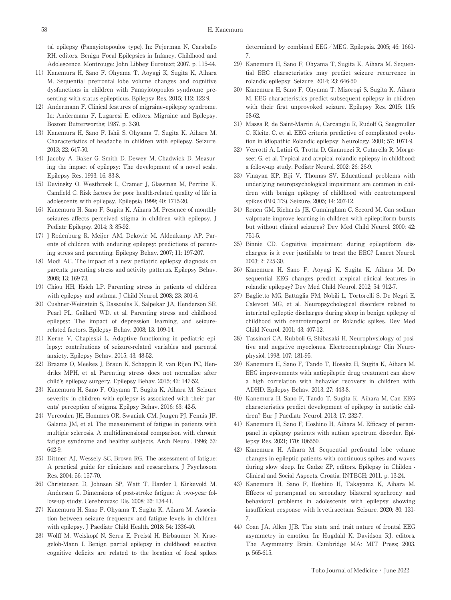tal epilepsy (Panayiotopoulos type). In: Fejerman N, Caraballo RH, editors. Benign Focal Epilepsies in Infancy, Childhood and Adolescence. Montrouge: John Libbey Eurotext; 2007. p. 115-44.

- 11) Kanemura H, Sano F, Ohyama T, Aoyagi K, Sugita K, Aihara M. Sequential prefrontal lobe volume changes and cognitive dysfunctions in children with Panayiotopoulos syndrome presenting with status epilepticus. Epilepsy Res. 2015; 112: 122-9.
- 12) Andermann F. Clinical features of migraine-epilepsy syndrome. In: Andermann F, Lugaresi E, editors. Migraine and Epilepsy. Boston: Butterworths; 1987. p. 3-30.
- 13) Kanemura H, Sano F, Ishii S, Ohyama T, Sugita K, Aihara M. Characteristics of headache in children with epilepsy. Seizure. 2013; 22: 647-50.
- 14) Jacoby A, Baker G, Smith D, Dewey M, Chadwick D. Measuring the impact of epilepsy: The development of a novel scale. Epilepsy Res. 1993; 16: 83-8.
- 15) Devinsky O, Westbrook L, Cramer J, Glassman M, Perrine K, Camfield C. Risk factors for poor health-related quality of life in adolescents with epilepsy. Epilepsia 1999; 40: 1715-20.
- 16) Kanemura H, Sano F, Sugita K, Aihara M, Presence of monthly seizures affects perceived stigma in children with epilepsy. J Pediatr Epilepsy. 2014; 3: 85-92.
- 17)] Rodenburg R, Meijer AM, Dekovic M, Aldenkamp AP. Parents of children with enduring epilepsy: predictions of parenting stress and parenting. Epilepsy Behav. 2007; 11: 197-207.
- 18) Modi AC. The impact of a new pediatric epilepsy diagnosis on parents: parenting stress and activity patterns. Epilepsy Behav. 2008; 13: 169-73.
- 19) Chiou HH, Hsieh LP. Parenting stress in patients of children with epilepsy and asthma. J Child Neurol. 2008; 23: 301-6.
- 20) Cushner-Weinstein S, Dassoulas K, Salpekar JA, Henderson SE, Pearl PL, Gaillard WD, et al. Parenting stress and childhood epilepsy: The impact of depression, learning, and seizurerelated factors. Epilepsy Behav. 2008; 13: 109-14.
- 21) Kerne V, Chapieski L. Adaptive functioning in pediatric epilepsy: contributions of seizure-related variables and parental anxiety. Epilepsy Behav. 2015; 43: 48-52.
- 22) Braams O, Meekes J, Braun K, Schappin R, van Rijen PC, Hendriks MPH, et al. Parenting stress does not normalize after child's epilepsy surgery. Epilepsy Behav. 2015; 42: 147-52.
- 23) Kanemura H, Sano F, Ohyama T, Sugita K, Aihara M. Seizure severity in children with epilepsy is associated with their parents' perception of stigma. Epilpsy Behav. 2016; 63: 42-5.
- 24) Vercoulen JH, Hommes OR, Swanink CM, Jongen PJ, Fennis JF, Galama JM, et al. The measurement of fatigue in patients with multiple sclerosis. A multidimensional comparison with chronic fatigue syndrome and healthy subjects. Arch Neurol. 1996; 53: 642-9.
- 25) Dittner AJ, Wessely SC, Brown RG. The assessment of fatigue: A practical guide for clinicians and researchers. J Psychosom Res. 2004; 56: 157-70.
- 26) Christensen D, Johnsen SP, Watt T, Harder I, Kirkevold M, Andersen G. Dimensions of post-stroke fatigue: A two-year follow-up study. Cerebrovasc Dis. 2008; 26: 134-41.
- 27) Kanemura H, Sano F, Ohyama T, Sugita K, Aihara M. Association between seizure frequency and fatigue levels in children with epilepsy. J Paediatr Child Health. 2018; 54: 1336-40.
- 28) Wolff M, Weiskopf N, Serra E, Preissl H, Birbaumer N, Kraegeloh-Mann I. Benign partial epilepsy in childhood: selective cognitive deficits are related to the location of focal spikes

determined by combined EEG ⁄ MEG. Epilepsia. 2005; 46: 1661- 7.

- 29) Kanemura H, Sano F, Ohyama T, Sugita K, Aihara M, Sequential EEG characteristics may predict seizure recurrence in rolandic epilepsy. Seizure. 2014; 23: 646-50.
- 30) Kanemura H, Sano F, Ohyama T, Mizorogi S, Sugita K, Aihara M. EEG characteristics predict subsequent epilepsy in children with their first unprovoked seizure. Epilepsy Res. 2015; 115: 58-62.
- 31) Massa R, de Saint-Martin A, Carcangiu R, Rudolf G, Seegmuller C, Kleitz, C, et al. EEG criteria predictive of complicated evolution in idiopathic Rolandic epilepsy. Neurology. 2001; 57: 1071-9.
- 32) Verrotti A, Latini G, Trotta D, Giannuzzi R, Cutarella R, Morgeseet G, et al. Typical and atypical rolandic epilepsy in childhood: a follow-up study. Pediatr Neurol. 2002; 26: 26-9.
- 33) Vinayan KP, Biji V, Thomas SV. Educational problems with underlying neuropsychological impairment are common in children with benign epilepsy of childhood with centrotemporal spikes (BECTS). Seizure. 2005; 14: 207-12.
- 34) Ronen GM, Richards JE, Cunningham C, Secord M, Can sodium valproate improve learning in children with epileptiform bursts but without clinical seizures? Dev Med Child Neurol. 2000; 42: 751-5.
- 35)Binnie CD. Cognitive impairment during epileptiform discharges: is it ever justifiable to treat the EEG? Lancet Neurol. 2003; 2: 725-30.
- 36)Kanemura H, Sano F, Aoyagi K, Sugita K, Aihara M. Do sequential EEG changes predict atypical clinical features in rolandic epilepsy? Dev Med Child Neurol. 2012; 54: 912-7.
- 37) Baglietto MG, Battaglia FM, Nobili L, Tortorelli S, De Negri E, Calevoet MG, et al. Neuropsychological disorders related to interictal epileptic discharges during sleep in benign epilepsy of childhood with centrotemporal or Rolandic spikes. Dev Med Child Neurol. 2001; 43: 407-12.
- 38)Tassinari CA, Rubboli G, Shibasaki H. Neurophysiology of positive and negative myoclonus. Electroencephalogr Clin Neurophysiol. 1998; 107: 181-95.
- 39) Kanemura H, Sano F, Tando T, Hosaka H, Sugita K, Aihara M, EEG improvements with antiepileptic drug treatment can show a high correlation with behavior recovery in children with ADHD. Epilepsy Behav. 2013; 27: 443-8.
- 40) Kanemura H, Sano F, Tando T, Sugita K, Aihara M. Can EEG characteristics predict development of epilepsy in autistic children? Eur J Paediatr Neurol. 2013; 17: 232-7.
- 41) Kanemura H, Sano F, Hoshino H, Aihara M, Efficacy of perampanel in epilepsy patients with autism spectrum disorder. Epilepsy Res. 2021; 170: 106550.
- 42) Kanemura H, Aihara M. Sequential prefrontal lobe volume changes in epileptic patients with continuous spikes and waves during slow sleep. In: Gadze ZP, editors. Epilepsy in Childen - Clinical and Social Aspects. Croatia: INTECH; 2011. p. 13-24.
- 43)Kanemura H, Sano F, Hoshino H, Takayama K, Aihara M. Effects of perampanel on secondary bilateral synchrony and behavioral problems in adolescents with epilepsy showing insufficient response with levetiracetam. Seizure. 2020; 80: 131- 7.
- 44) Coan JA, Allen JJB. The state and trait nature of frontal EEG asymmetry in emotion. In: Hugdahl K, Davidson RJ, editors. The Asymmetry Brain. Cambridge MA: MIT Press; 2003. p. 565-615.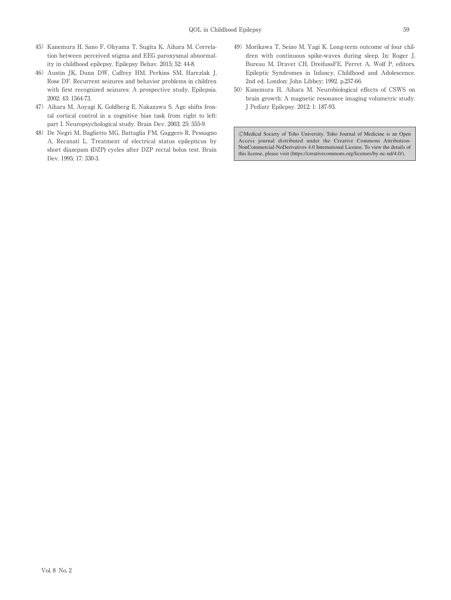- 45) Kanemura H, Sano F, Ohyama T, Sugita K, Aihara M. Correlation between perceived stigma and EEG paroxysmal abnormality in childhood epilepsy. Epilepsy Behav. 2015; 52: 44-8.
- 46) Austin JK, Dunn DW, Caffrey HM, Perkins SM, Harezlak J, Rose DF. Recurrent seizures and behavior problems in children with first recognized seizures: A prospective study. Epilepsia. 2002; 43: 1564-73.
- 47) Aihara M, Aoyagi K, Goldberg E, Nakazawa S. Age shifts frontal cortical control in a cognitive bias task from right to left: part I. Neuropsychological study. Brain Dev. 2003; 25: 555-9.
- 48) De Negri M, Baglietto MG, Battaglia FM, Gaggero R, Pessagno A, Recanati L. Treatment of electrical status epilepticus by short diazepam (DZP) cycles after DZP rectal bolus test. Brain Dev. 1995; 17: 330-3.
- 49) Morikawa T, Seino M, Yagi K. Long-term outcome of four children with continuous spike-waves during sleep, In: Roger J, Bureau M, Dravet CH, DreifussFE, Perret A, Wolf P, editors. Epileptic Syndromes in Infancy, Childhood and Adolescence. 2nd ed. London: John Libbey; 1992. p.257-66.
- 50) Kanemura H, Aihara M. Neurobiological effects of CSWS on brain growth: A magnetic resonance imaging volumetric study. J Pediatr Epilepsy. 2012; 1: 187-93.

ⒸMedical Society of Toho University. Toho Journal of Medicine is an Open Access journal distributed under the Creative Commons Attribution-NonCommercial-NoDerivatives 4.0 International License. To view the details of this license, please visit (https://creativecommons.org/licenses/by-nc-nd/4.0/).